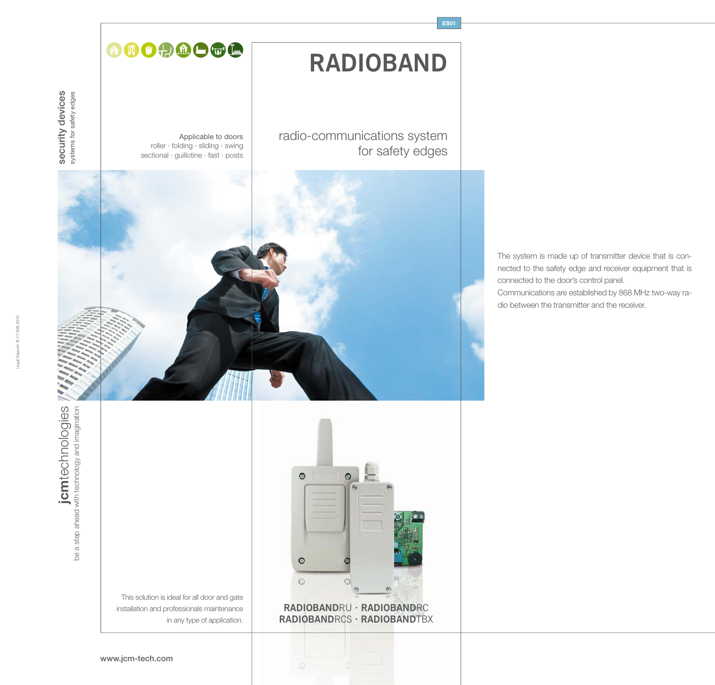# **RADIOBAND**

**ES01**

radio-communications system for safety edges

Applicable to doors roller · folding · sliding · swing sectional · guillotine · fast · posts

AIOOOOOC



 $\circ$  $\odot$  $\circ$  $\circ$  $\circ$ **RADIOBAND**RU **· RADIOBAND**RC **RADIOBAND**RCS **· RADIOBAND**TBX

This solution is ideal for all door and gate installation and professionals maintenance in any type of application.

www.jcm-tech.com

The system is made up of transmitter device that is connected to the safety edge and receiver equipment that is connected to the door's control panel. Communications are established by 868 MHz two-way radio between the transmitter and the receiver.